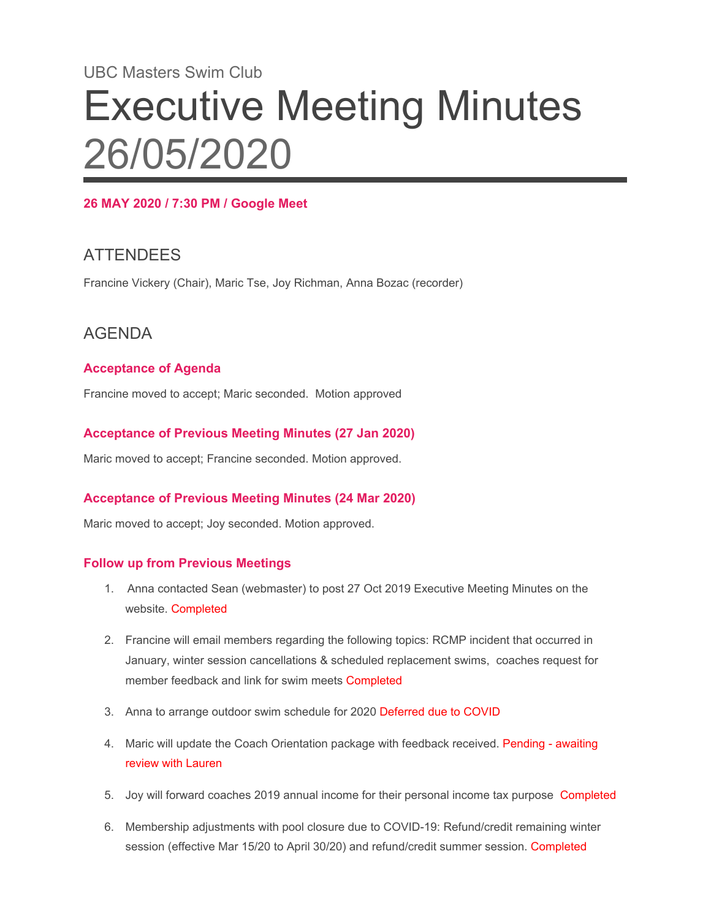# UBC Masters Swim Club Executive Meeting Minutes 26/05/2020

## **26 MAY 2020 / 7:30 PM / Google Meet**

# **ATTENDEES**

Francine Vickery (Chair), Maric Tse, Joy Richman, Anna Bozac (recorder)

## AGENDA

## **Acceptance of Agenda**

Francine moved to accept; Maric seconded. Motion approved

#### **Acceptance of Previous Meeting Minutes (27 Jan 2020)**

Maric moved to accept; Francine seconded. Motion approved.

## **Acceptance of Previous Meeting Minutes (24 Mar 2020)**

Maric moved to accept; Joy seconded. Motion approved.

#### **Follow up from Previous Meetings**

- 1. Anna contacted Sean (webmaster) to post 27 Oct 2019 Executive Meeting Minutes on the website. Completed
- 2. Francine will email members regarding the following topics: RCMP incident that occurred in January, winter session cancellations & scheduled replacement swims, coaches request for member feedback and link for swim meets Completed
- 3. Anna to arrange outdoor swim schedule for 2020 Deferred due to COVID
- 4. Maric will update the Coach Orientation package with feedback received. Pending awaiting review with Lauren
- 5. Joy will forward coaches 2019 annual income for their personal income tax purpose Completed
- 6. Membership adjustments with pool closure due to COVID-19: Refund/credit remaining winter session (effective Mar 15/20 to April 30/20) and refund/credit summer session. Completed